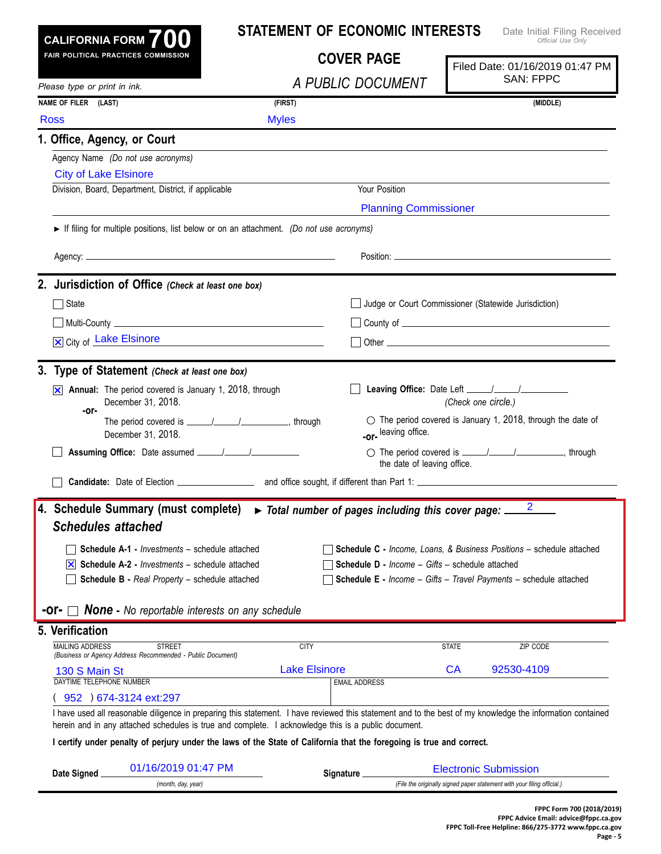|                                                                                                                                                  | CALIFORNIA FORM $700$                                                                                                | <b>STATEMENT OF ECONOMIC INTERESTS</b><br>Date Initial Filing Received<br>Official Use Only |                                                        |                                                                                                                                                            |  |  |
|--------------------------------------------------------------------------------------------------------------------------------------------------|----------------------------------------------------------------------------------------------------------------------|---------------------------------------------------------------------------------------------|--------------------------------------------------------|------------------------------------------------------------------------------------------------------------------------------------------------------------|--|--|
|                                                                                                                                                  | FAIR POLITICAL PRACTICES COMMISSION                                                                                  | <b>COVER PAGE</b>                                                                           |                                                        | Filed Date: 01/16/2019 01:47 PM                                                                                                                            |  |  |
| Please type or print in ink.                                                                                                                     |                                                                                                                      | A PUBLIC DOCUMENT                                                                           |                                                        | <b>SAN: FPPC</b>                                                                                                                                           |  |  |
| NAME OF FILER (LAST)                                                                                                                             |                                                                                                                      | (FIRST)                                                                                     |                                                        | (MIDDLE)                                                                                                                                                   |  |  |
| <b>Ross</b>                                                                                                                                      |                                                                                                                      | <b>Myles</b>                                                                                |                                                        |                                                                                                                                                            |  |  |
| 1. Office, Agency, or Court                                                                                                                      |                                                                                                                      |                                                                                             |                                                        |                                                                                                                                                            |  |  |
|                                                                                                                                                  | Agency Name (Do not use acronyms)                                                                                    |                                                                                             |                                                        |                                                                                                                                                            |  |  |
| <b>City of Lake Elsinore</b>                                                                                                                     |                                                                                                                      |                                                                                             |                                                        |                                                                                                                                                            |  |  |
|                                                                                                                                                  | Division, Board, Department, District, if applicable                                                                 | Your Position                                                                               |                                                        |                                                                                                                                                            |  |  |
|                                                                                                                                                  |                                                                                                                      |                                                                                             | <b>Planning Commissioner</b>                           |                                                                                                                                                            |  |  |
|                                                                                                                                                  | If filing for multiple positions, list below or on an attachment. (Do not use acronyms)                              |                                                                                             |                                                        |                                                                                                                                                            |  |  |
|                                                                                                                                                  |                                                                                                                      |                                                                                             |                                                        |                                                                                                                                                            |  |  |
|                                                                                                                                                  |                                                                                                                      |                                                                                             |                                                        |                                                                                                                                                            |  |  |
|                                                                                                                                                  | 2. Jurisdiction of Office (Check at least one box)                                                                   |                                                                                             |                                                        |                                                                                                                                                            |  |  |
| $\Box$ State                                                                                                                                     |                                                                                                                      |                                                                                             | Judge or Court Commissioner (Statewide Jurisdiction)   |                                                                                                                                                            |  |  |
|                                                                                                                                                  |                                                                                                                      |                                                                                             |                                                        |                                                                                                                                                            |  |  |
| X City of Lake Elsinore<br><u> 1989 - Johann Stein, mars and de Britannic and de Britannic and de Britannic and de Britannic and de Britanni</u> |                                                                                                                      |                                                                                             |                                                        |                                                                                                                                                            |  |  |
|                                                                                                                                                  | 3. Type of Statement (Check at least one box)                                                                        |                                                                                             |                                                        |                                                                                                                                                            |  |  |
| IХ                                                                                                                                               | Annual: The period covered is January 1, 2018, through                                                               |                                                                                             |                                                        |                                                                                                                                                            |  |  |
|                                                                                                                                                  | December 31, 2018.                                                                                                   |                                                                                             |                                                        | (Check one circle.)                                                                                                                                        |  |  |
| -or-                                                                                                                                             |                                                                                                                      |                                                                                             |                                                        | $\circlearrowright$ The period covered is January 1, 2018, through the date of                                                                             |  |  |
|                                                                                                                                                  | December 31, 2018.                                                                                                   |                                                                                             | -or-leaving office.                                    |                                                                                                                                                            |  |  |
|                                                                                                                                                  |                                                                                                                      |                                                                                             | the date of leaving office.                            |                                                                                                                                                            |  |  |
|                                                                                                                                                  |                                                                                                                      |                                                                                             |                                                        |                                                                                                                                                            |  |  |
|                                                                                                                                                  |                                                                                                                      |                                                                                             |                                                        |                                                                                                                                                            |  |  |
| <b>Schedules attached</b>                                                                                                                        | 4. Schedule Summary (must complete) > Total number of pages including this cover page: _                             |                                                                                             |                                                        | $\overline{\phantom{0}}$ 2                                                                                                                                 |  |  |
|                                                                                                                                                  |                                                                                                                      |                                                                                             |                                                        |                                                                                                                                                            |  |  |
|                                                                                                                                                  |                                                                                                                      |                                                                                             |                                                        |                                                                                                                                                            |  |  |
|                                                                                                                                                  | Schedule A-1 - Investments - schedule attached                                                                       |                                                                                             |                                                        | <b>Schedule C</b> - Income, Loans, & Business Positions - schedule attached                                                                                |  |  |
|                                                                                                                                                  | $ \mathsf{x} $ Schedule A-2 - <i>Investments</i> – schedule attached                                                 |                                                                                             | <b>Schedule D - Income - Gifts - schedule attached</b> |                                                                                                                                                            |  |  |
|                                                                                                                                                  | Schedule B - Real Property - schedule attached                                                                       |                                                                                             |                                                        | <b>Schedule E</b> - Income - Gifts - Travel Payments - schedule attached                                                                                   |  |  |
|                                                                                                                                                  | <b>-Or-</b> $\Box$ <b>None</b> - No reportable interests on any schedule                                             |                                                                                             |                                                        |                                                                                                                                                            |  |  |
|                                                                                                                                                  |                                                                                                                      |                                                                                             |                                                        |                                                                                                                                                            |  |  |
| <b>MAILING ADDRESS</b>                                                                                                                           | <b>STREET</b>                                                                                                        | <b>CITY</b>                                                                                 |                                                        | <b>STATE</b><br>ZIP CODE                                                                                                                                   |  |  |
|                                                                                                                                                  | (Business or Agency Address Recommended - Public Document)                                                           | <b>Lake Elsinore</b>                                                                        |                                                        | <b>CA</b><br>92530-4109                                                                                                                                    |  |  |
| 130 S Main St<br>DAYTIME TELEPHONE NUMBER                                                                                                        |                                                                                                                      |                                                                                             | <b>EMAIL ADDRESS</b>                                   |                                                                                                                                                            |  |  |
|                                                                                                                                                  | 952 ) 674-3124 ext:297                                                                                               |                                                                                             |                                                        |                                                                                                                                                            |  |  |
|                                                                                                                                                  | herein and in any attached schedules is true and complete. I acknowledge this is a public document.                  |                                                                                             |                                                        | I have used all reasonable diligence in preparing this statement. I have reviewed this statement and to the best of my knowledge the information contained |  |  |
|                                                                                                                                                  | I certify under penalty of perjury under the laws of the State of California that the foregoing is true and correct. |                                                                                             |                                                        |                                                                                                                                                            |  |  |
| 5. Verification<br>Date Signed                                                                                                                   | 01/16/2019 01:47 PM                                                                                                  | Signature _                                                                                 |                                                        | <b>Electronic Submission</b>                                                                                                                               |  |  |